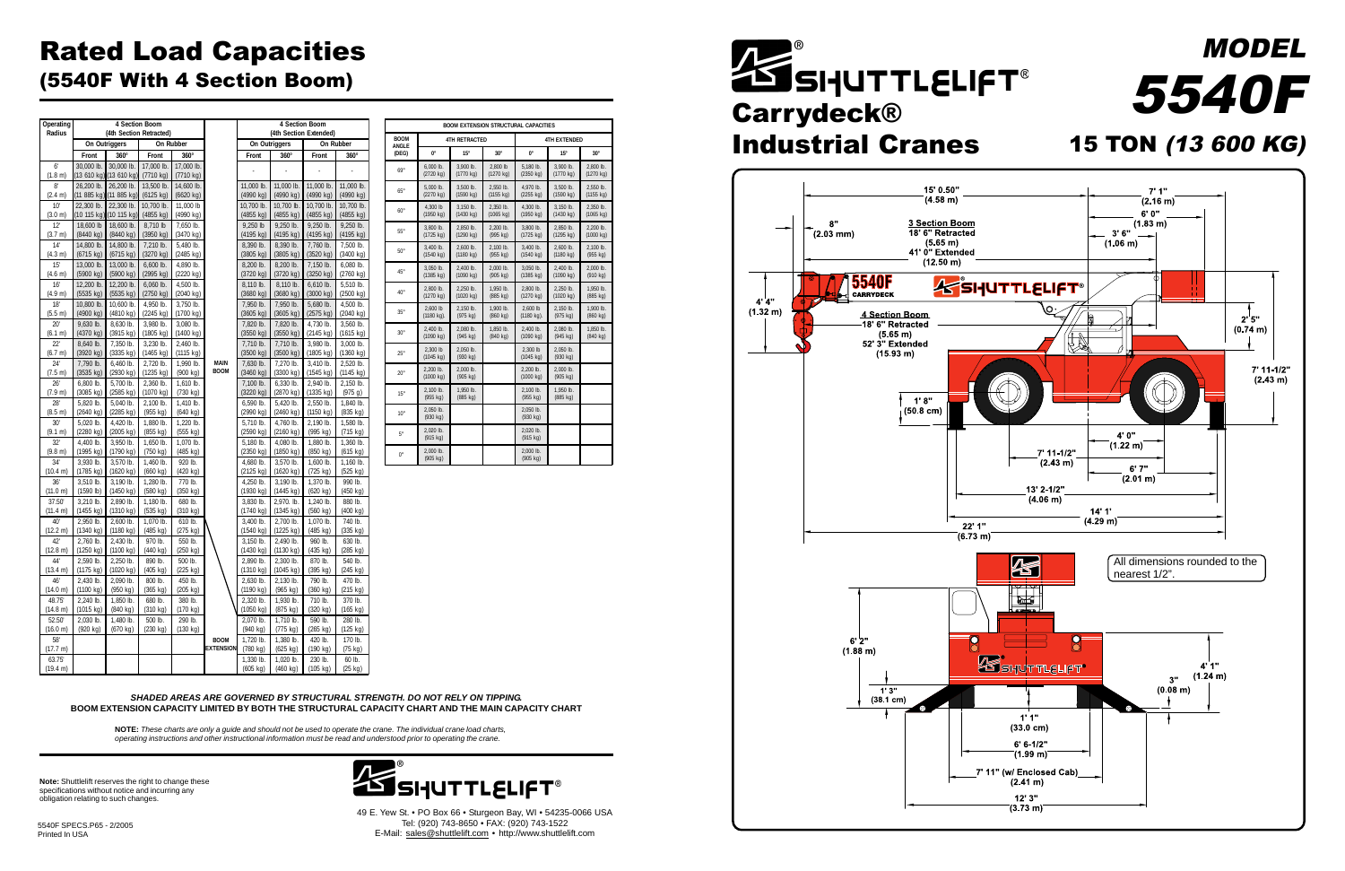## Rated Load Capacities (5540F With 4 Section Boom)

**Note:** Shuttlelift reserves the right to change these specifications without notice and incurring any obligation relating to such changes.

> 49 E. Yew St. • PO Box 66 • Sturgeon Bay, WI • 54235-0066 USA Tel: (920) 743-8650 • FAX: (920) 743-1522 E-Mail: sales@shuttlelift.com • http://www.shuttlelift.com

5540F SPECS.P65 - 2/2005 Printed In USA





**NOTE:** *These charts are only a guide and should not be used to operate the crane. The individual crane load charts, operating instructions and other instructional information must be read and understood prior to operating the crane.*

*SHADED AREAS ARE GOVERNED BY STRUCTURAL STRENGTH. DO NOT RELY ON TIPPING.* **BOOM EXTENSION CAPACITY LIMITED BY BOTH THE STRUCTURAL CAPACITY CHART AND THE MAIN CAPACITY CHART**

| Operating<br>Radius       | 4 Section Boom<br>(4th Section Retracted) |                                   |                                  |                         | 4 Section Boom<br>(4th Section Extended) |                                  |                                  |                                 |                               |
|---------------------------|-------------------------------------------|-----------------------------------|----------------------------------|-------------------------|------------------------------------------|----------------------------------|----------------------------------|---------------------------------|-------------------------------|
|                           |                                           | On Outriggers                     |                                  | On Rubber               |                                          |                                  | On Outriggers                    |                                 | On Rubber                     |
|                           | Front                                     | $360^\circ$                       | Front                            | $360^\circ$             |                                          | Front                            | $360^\circ$                      | Front                           | $360^\circ$                   |
| 6 <sup>1</sup><br>(1.8 m) | 30,000 lb.<br>(13 610 kg)                 | 30,000 lb.<br>(13 610 kg)         | 17,000 lb.<br>(7710 kg)          | 17,000 lb.<br>(7710 kg) |                                          |                                  |                                  |                                 |                               |
| $8^{\circ}$               | 26,200 lb.                                | 26,200 lb.                        | 13,500 lb.                       | 14,600 lb.              |                                          | 11,000 lb.                       | 11,000 lb.                       | 11,000 lb.                      | 11,000 lb.                    |
| (2.4 m)                   | (11 885 kg)                               | (11 885 kg)                       | (6125 kg)                        | (6620 kg)               |                                          | (4990 kg)                        | (4990 kg)                        | (4990 kg)                       | (4990 kg)                     |
| 10'<br>(3.0 m)            | 22,300 lb.<br>(10 115 kg)                 | 22,300 lb.<br>(10 115 kg)         | 10,700 lb.<br>(4855 kg)          | 11,000 lb<br>(4990 kg)  |                                          | 10.700 lb.<br>(4855 kg)          | 10,700 lb.<br>(4855 kg)          | 10,700 lb.<br>(4855 kg)         | 10,700 lb.<br>(4855 kg)       |
| 12'                       | 18,600 lb                                 | 18,600 lb.                        | 8,710 lb                         | 7,650 lb.               |                                          | 9,250 lb                         | 9,250 lb.                        | 9,250 lb.                       | 9,250 lb.                     |
| (3.7 m)                   | (8440 kg)                                 | (8440 kg)                         | (3950 kg)                        | (3470 kg)               |                                          | (4195 kg)                        | (4195 kg)                        | (4195 kg)                       | (4195 kg)                     |
| 14'<br>(4.3 m)            | 14,800 lb.<br>$(6715 \text{ kg})$         | 14,800 lb.<br>$(6715 \text{ kg})$ | 7,210 lb.<br>$(3270 \text{ kg})$ | 5,480 lb.<br>(2485 kg)  |                                          | 8,390 lb.<br>(3805 kg)           | 8,390 lb.<br>(3805 kg)           | 7,760 lb.<br>(3520 kg)          | 7,500 lb.<br>(3400 kg)        |
| 15'<br>(4.6 m)            | 13,000 lb.<br>(5900 kg)                   | 13,000 lb.<br>(5900 kg)           | 6,600 lb.<br>(2995 kg)           | 4.890 lb.<br>(2220 kg)  |                                          | 8,200 lb.<br>(3720 kg)           | 8,200 lb.<br>(3720 kg)           | 7,150 lb.<br>(3250 kg)          | 6,080 lb.<br>(2760 kg)        |
| 16'                       | 12,200 lb.                                | 12.200 lb.                        | 6,060 lb.                        | 4,500 lb.               |                                          | 8,110 lb.                        | 8,110 lb.                        | 6,610 lb.                       | 5,510 lb.                     |
| (4.9 m)                   | (5535 kg)                                 | (5535 kg)                         | (2750 kg)                        | (2040 kg)               |                                          | (3680 kg)                        | (3680 kg)                        | (3000 kg)                       | (2500 kg)                     |
| 18'<br>(5.5 m)            | 10,800 lb.<br>(4900 kg)                   | 10,600 lb.<br>$(4810 \text{ kg})$ | 4,950 lb.<br>$(2245 \text{ kg})$ | 3,750 lb.<br>(1700 kg)  |                                          | 7,950 lb.<br>(3605 kg)           | 7,950 lb.<br>$(3605 \text{ kg})$ | 5,680 lb.<br>(2575 kg)          | 4,500 lb.<br>(2040 kg)        |
| 20'                       | 9,630 lb.                                 | 8,630 lb.                         | 3.980 lb.                        | 3,080 lb.               |                                          | 7,820 lb.                        | 7,820 lb.                        | 4,730 lb.                       | 3,560 lb.                     |
| (6.1 m)                   | (4370 kg)                                 | (3915 kg)                         | (1805 kg)                        | (1400 kg)               |                                          | (3550 kg)                        | (3550 kg)                        | (2145 kg)                       | (1615 kg)                     |
| 22'<br>(6.7 m)            | 8,640 lb.<br>(3920 kg)                    | 7,350 lb.<br>(3335 kg)            | 3,230 lb.<br>(1465 kg)           | 2,460 lb.<br>(1115 kg)  |                                          | 7,710 lb.<br>(3500 kg)           | 7,710 lb.<br>(3500 kg)           | 3,980 lb.<br>(1805 kg)          | 3,000 lb.<br>(1360 kg)        |
| 24'                       | 7,790 lb.                                 | $6,460$ lb.<br>(2930 kg)          | 2,720 lb.<br>(1235 kg)           | 1,990 lb.<br>(900 kg)   | <b>MAIN</b><br><b>BOOM</b>               | 7,630 lb.<br>(3460 kg)           | 7,270 lb.<br>(3300 kg)           | 3,410 lb.                       | 2,520 lb.                     |
| (7.5 m)<br>26'            | (3535 kg)<br>6,800 lb.                    | 5,700 lb.                         | 2,360 lb.                        | 1,610 lb.               |                                          | 7,100 lb.                        | 6,330 lb.                        | (1545 kg)<br>2,940 lb.          | (1145 kg)<br>2,150 lb.        |
| (7.9 m)                   | (3085 kg)                                 | (2585 kg)                         | (1070 kg)                        | (730 kg)                |                                          | (3220 kg)                        | (2870 kg)                        | (1335 kg)                       | (975 g)                       |
| 28'<br>(8.5 m)            | 5,820 lb.<br>(2640 kg)                    | 5,040 lb.<br>(2285 kg)            | 2,100 lb.<br>(955 kg)            | 1,410 lb.<br>(640 kg)   |                                          | 6,590 lb.<br>(2990 kg)           | 5,420 lb.<br>(2460 kg)           | 2,550 lb.<br>(1150 kg)          | 1,840 lb.<br>(835 kg)         |
| 30'                       | 5,020 lb.                                 | 4,420 lb.                         | 1,880 lb.                        | 1,220 lb.               |                                          | 5,710 lb.                        | 4,760 lb.                        | 2,190 lb.                       | 1,580 lb.                     |
| (9.1 m)                   | (2280 kg)                                 | $(2005 \text{ kg})$               | (855 kg)                         | (555 kg)                |                                          | (2590 kg)                        | (2160 kg)                        | (995 kg)                        | (715 kg)                      |
| 32'<br>(9.8 m)            | 4,400 lb.<br>(1995 kg)                    | 3,950 lb.<br>(1790 kg)            | 1,650 lb.<br>$(750 \text{ kg})$  | 1,070 lb.<br>(485 kg)   |                                          | 5,180 lb.<br>(2350 kg)           | 4,080 lb.<br>(1850 kg)           | 1,880 lb.<br>$(850 \text{ kg})$ | 1,360 lb.<br>$(615$ kg)       |
| 34'                       | 3,930 lb.                                 | 3,570 lb.                         | 1.460 lb.                        | 920 lb.                 |                                          | 4,680 lb.                        | 3,570 lb.                        | 1,600 lb.                       | 1,160 lb.                     |
| (10.4 m)                  | (1785 kg)                                 | (1620 kg)                         | (660 kg)                         | (420 kg)                |                                          | (2125 kg)                        | (1620 kg)                        | (725 kg)                        | (525 kg)                      |
| 36'<br>(11.0 m)           | 3,510 lb.<br>$(1590$ lb)                  | 3,190 lb.<br>(1450 kg)            | 1,280 lb.<br>(580 kg)            | 770 lb.<br>(350 kg)     |                                          | 4,250 lb.<br>(1930 kg)           | 3,190 lb.<br>(1445 kg)           | 1,370 lb.<br>(620 kg)           | 990 lb.<br>(450 kg)           |
| 37.50                     | 3,210 lb.                                 | 2,890 lb.                         | 1,180 lb.                        | 680 lb.                 |                                          | 3,830 lb.                        | 2,970. lb.                       | 1,240 lb.                       | 880 lb.                       |
| (11.4 m)                  | (1455 kg)                                 | (1310 kg)                         | (535 kg)                         | (310 kg)                |                                          | (1740 kg)                        | (1345 kg)                        | (560 kg)                        | (400 kg)                      |
| 40'<br>(12.2 m)           | 2.950 lb.<br>(1340 kg)                    | 2.600 lb.<br>(1180 kg)            | 1.070 lb.<br>(485 kg)            | 610 lb.<br>(275 kg)     |                                          | 3.400 lb.<br>$(1540 \text{ kg})$ | 2.700 lb.<br>(1225 kg)           | 1.070 lb.<br>(485 kg)           | 740 lb.<br>(335 kg)           |
| 42'<br>(12.8 m)           | 2,760 lb.<br>(1250 kg)                    | 2,430 lb.<br>(1100 kg)            | 970 lb.<br>(440 kg)              | 550 lb.<br>(250 kg)     |                                          | 3,150 lb.<br>(1430 kg)           | 2,490 lb.<br>(1130 kg)           | 960 lb.<br>(435 kg)             | 630 lb.<br>(285 kg)           |
| 44'                       | 2,590 lb.                                 | $2.250$ lb.                       | 890 lb.                          | 500 lb.                 |                                          | 2,890 lb.                        | 2,300 lb.                        | 870 lb.                         | 540 lb.                       |
| (13.4 m)                  | (1175 kg)                                 | (1020 kg)                         | (405 kg)                         | (225 kg)                |                                          | (1310 kg)                        | (1045 kg)                        | (395 kg)                        | (245 kg)                      |
| 46'<br>(14.0 m)           | 2,430 lb.<br>(1100 kg)                    | 2,090 lb.<br>$(950 \text{ kg})$   | 800 lb.<br>$(365 \text{ kg})$    | 450 lb.<br>(205 kg)     |                                          | 2,630 lb.<br>(1190 kg)           | 2,130 lb.<br>$(965 \text{ kg})$  | 790 lb.<br>(360 kg)             | 470 lb.<br>$(215 \text{ kg})$ |
| 48.75'                    | 2,240 lb.                                 | 1,850 lb.                         | 680 lb.                          | 380 lb.                 |                                          | 2,320 lb.                        | 1,930 lb.                        | 710 lb.                         | 370 lb.                       |
| (14.8 m)                  | (1015 kg)                                 | (840 kg)                          | (310 kg)                         | (170 kg)                |                                          | (1050 kg)                        | (875 kg)                         | (320 kg)                        | (165 kg)                      |
| 52.50<br>(16.0 m)         | 2,030 lb.<br>(920 kg)                     | 1,480 lb.<br>(670 kg)             | 500 lb.<br>(230 kg)              | 290 lb.<br>(130 kg)     |                                          | 2,070 lb.<br>(940 kg)            | 1,710 lb.<br>(775 kg)            | 590 lb.<br>(265 kg)             | 280 lb.<br>(125 kg)           |
| 58'                       |                                           |                                   |                                  |                         | <b>BOOM</b>                              | 1,720 lb.                        | 1,380 lb.                        | 420 lb.                         | 170 lb.                       |
| (17.7 m)                  |                                           |                                   |                                  |                         | <b>EXTENSION</b>                         | (780 kg)                         | (625 kg)                         | (190 kg)                        | (75 kg)                       |
| 63.75                     |                                           |                                   |                                  |                         |                                          | 1,330 lb.                        | 1,020 lb.                        | 230 lb.                         | 60 lb.                        |
| (19.4 m)                  |                                           |                                   |                                  |                         |                                          | (605 kg)                         | (460 kg)                         | (105 kg)                        | (25 kg)                       |

**ZE SHUTTLELIFT®**<br>Carrydeck® Industrial Cranes

|                             |                                 |                       |            | <b>BOOM EXTENSION STRUCTURAL CAPACITIES</b> |                       |            |
|-----------------------------|---------------------------------|-----------------------|------------|---------------------------------------------|-----------------------|------------|
| <b>BOOM</b><br><b>ANGLE</b> |                                 | <b>4TH RETRACTED</b>  |            | <b>4TH EXTENDED</b>                         |                       |            |
| (DEG)                       | $0^{\circ}$                     | $15^{\circ}$          | $30^\circ$ | $0^{\circ}$                                 | $15^{\circ}$          | $30^\circ$ |
| $69^\circ$                  | $6,000$ lb.                     | 3,900 lb.             | 2,800 lb   | 5,180 lb.                                   | 3,900 lb.             | 2,800 lb.  |
|                             | (2720 kg)                       | (1770 kg)             | (1270 kg)  | (2350 kg)                                   | (1770 kg)             | (1270 kg)  |
| $65^\circ$                  | 5,000 lb.                       | 3,500 lb.             | 2,550 lb.  | 4.970 lb.                                   | 3,500 lb.             | 2,550 lb.  |
|                             | (2270 kg)                       | (1590 kg)             | (1155 kg)  | (2255 kg)                                   | (1590 kg)             | (1155 kg)  |
| $60^\circ$                  | 4,300 lb                        | 3,150 lb.             | 2,350 lb.  | 4,300 lb.                                   | 3,150 lb.             | 2,350 lb.  |
|                             | $(1950 \text{ kg})$             | $(1430 \text{ kg})$   | (1065 kg)  | (1950 kg)                                   | (1430 kg)             | (1065 kg)  |
| $55^{\circ}$                | 3,800 lb.                       | 2,850 lb.             | 2,200 lb.  | 3,800 lb.                                   | 2,850 lb.             | 2,200 lb.  |
|                             | (1725 kg)                       | (1290 kg)             | (995 kg)   | (1725 kg)                                   | (1295 kg)             | (1000 kg)  |
| $50^\circ$                  | 3,400 lb.                       | 2,600 lb.             | 2,100 lb.  | 3,400 lb.                                   | 2,600 lb.             | 2,100 lb.  |
|                             | $(1540 \text{ kg})$             | $(1180 \text{ kg})$   | (955 kg)   | $(1540 \text{ kg})$                         | $(1180 \text{ kg})$   | $(955$ kg) |
| $45^{\circ}$                | 3,050 lb.                       | 2,400 lb.             | 2,000 lb.  | 3,050 lb.                                   | 2,400 lb.             | 2,000 lb.  |
|                             | (1385 kg)                       | (1090 kg)             | (905 kg)   | $(1385 \text{ kg})$                         | (1090 kg)             | (910 kg)   |
| $40^{\circ}$                | 2.800 lb.                       | $2.250$ lb.           | 1.950 lb.  | 2.800 lb.                                   | 2,250 lb.             | 1,950 lb.  |
|                             | (1270 kg)                       | (1020 kg)             | (885 kg)   | (1270 kg)                                   | (1020 kg)             | (885 kg)   |
| $35^\circ$                  | 2,600 lb                        | 2,150 lb.             | 1,900 lb.  | 2,600 lb                                    | 2,150 lb.             | 1,900 lb.  |
|                             | (1180 kg).                      | (975 kg)              | (860 kg)   | (1180 kg).                                  | (975 kg)              | (860 kg)   |
| $30^\circ$                  | 2,400 lb.                       | 2,080 lb.             | 1,850 lb.  | 2,400 lb.                                   | 2,080 lb.             | 1,850 lb.  |
|                             | (1090 kg)                       | (945 kg)              | (840 kg)   | (1090 kg)                                   | (945 kg)              | (840 kg)   |
| $25^\circ$                  | 2,300 lb<br>$(1045 \text{ kg})$ | 2,050 lb.<br>(930 kg) |            | 2,300 lb<br>(1045 kg)                       | 2,050 lb.<br>(930 kg) |            |
| $20^{\circ}$                | 2,200 lb.<br>(1000 kg)          | 2,000 lb.<br>(905 kg) |            | 2,200 lb.<br>(1000 kg)                      | 2,000 lb.<br>(905 kg) |            |
| $15^\circ$                  | 2,100 lb.<br>(955 kg)           | 1,950 lb.<br>(885 kg) |            | 2,100 lb.<br>(955 kg)                       | 1,950 lb.<br>(885 kg) |            |
| $10^{\circ}$                | 2,050 lb.<br>(930 kg)           |                       |            | 2,050 lb.<br>(930 kg)                       |                       |            |
| $5^{\circ}$                 | 2,020 lb.<br>(915 kg)           |                       |            | 2,020 lb.<br>(915 kg)                       |                       |            |
| $0^{\circ}$                 | 2,000 lb.<br>(905 kg)           |                       |            | 2,000 lb.<br>(905 kg)                       |                       |            |